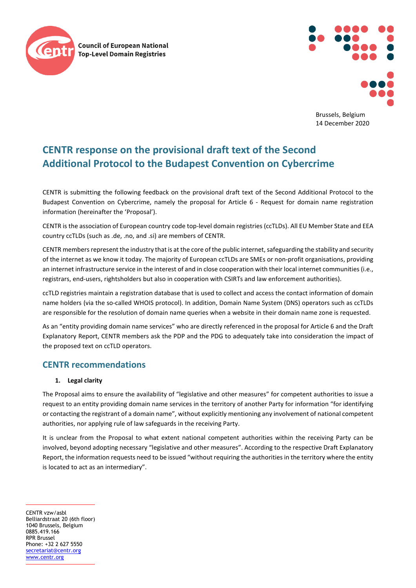



Brussels, Belgium 14 December 2020

# **CENTR response on the provisional draft text of the Second Additional Protocol to the Budapest Convention on Cybercrime**

CENTR is submitting the following feedback on the provisional draft text of the Second Additional Protocol to the Budapest Convention on Cybercrime, namely the proposal for Article 6 - Request for domain name registration information (hereinafter the 'Proposal').

CENTR is the association of European country code top-level domain registries (ccTLDs). All EU Member State and EEA country ccTLDs (such as .de, .no, and .si) are members of CENTR.

CENTR members represent the industry that is at the core of the public internet, safeguarding the stability and security of the internet as we know it today. The majority of European ccTLDs are SMEs or non-profit organisations, providing an internet infrastructure service in the interest of and in close cooperation with their local internet communities (i.e., registrars, end-users, rightsholders but also in cooperation with CSIRTs and law enforcement authorities).

ccTLD registries maintain a registration database that is used to collect and access the contact information of domain name holders (via the so-called WHOIS protocol). In addition, Domain Name System (DNS) operators such as ccTLDs are responsible for the resolution of domain name queries when a website in their domain name zone is requested.

As an "entity providing domain name services" who are directly referenced in the proposal for Article 6 and the Draft Explanatory Report, CENTR members ask the PDP and the PDG to adequately take into consideration the impact of the proposed text on ccTLD operators.

## **CENTR recommendations**

### **1. Legal clarity**

The Proposal aims to ensure the availability of "legislative and other measures" for competent authorities to issue a request to an entity providing domain name services in the territory of another Party for information "for identifying or contacting the registrant of a domain name", without explicitly mentioning any involvement of national competent authorities, nor applying rule of law safeguards in the receiving Party.

It is unclear from the Proposal to what extent national competent authorities within the receiving Party can be involved, beyond adopting necessary "legislative and other measures". According to the respective Draft Explanatory Report, the information requests need to be issued "without requiring the authorities in the territory where the entity is located to act as an intermediary".

CENTR vzw/asbl Belliardstraat 20 (6th floor) 1040 Brussels, Belgium 0885.419.166 RPR Brussel Phone: +32 2 627 5550 [secretariat@centr.org](mailto:secretariat@centr.org) [www.centr.org](http://www.centr.org/)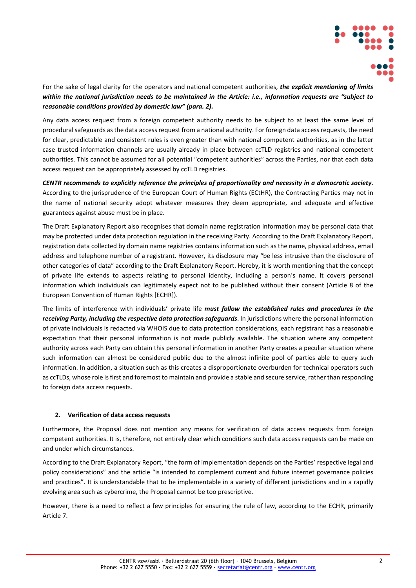

For the sake of legal clarity for the operators and national competent authorities, *the explicit mentioning of limits within the national jurisdiction needs to be maintained in the Article: i.e., information requests are "subject to reasonable conditions provided by domestic law" (para. 2).*

Any data access request from a foreign competent authority needs to be subject to at least the same level of procedural safeguards as the data access request from a national authority. For foreign data access requests, the need for clear, predictable and consistent rules is even greater than with national competent authorities, as in the latter case trusted information channels are usually already in place between ccTLD registries and national competent authorities. This cannot be assumed for all potential "competent authorities" across the Parties, nor that each data access request can be appropriately assessed by ccTLD registries.

*CENTR recommends to explicitly reference the principles of proportionality and necessity in a democratic society*. According to the jurisprudence of the European Court of Human Rights (ECtHR), the Contracting Parties may not in the name of national security adopt whatever measures they deem appropriate, and adequate and effective guarantees against abuse must be in place.

The Draft Explanatory Report also recognises that domain name registration information may be personal data that may be protected under data protection regulation in the receiving Party. According to the Draft Explanatory Report, registration data collected by domain name registries contains information such as the name, physical address, email address and telephone number of a registrant. However, its disclosure may "be less intrusive than the disclosure of other categories of data" according to the Draft Explanatory Report. Hereby, it is worth mentioning that the concept of private life extends to aspects relating to personal identity, including a person's name. It covers personal information which individuals can legitimately expect not to be published without their consent (Article 8 of the European Convention of Human Rights [ECHR]).

The limits of interference with individuals' private life *must follow the established rules and procedures in the receiving Party, including the respective data protection safeguards*. In jurisdictions where the personal information of private individuals is redacted via WHOIS due to data protection considerations, each registrant has a reasonable expectation that their personal information is not made publicly available. The situation where any competent authority across each Party can obtain this personal information in another Party creates a peculiar situation where such information can almost be considered public due to the almost infinite pool of parties able to query such information. In addition, a situation such as this creates a disproportionate overburden for technical operators such as ccTLDs, whose role is first and foremost to maintain and provide a stable and secure service, rather than responding to foreign data access requests.

#### **2. Verification of data access requests**

Furthermore, the Proposal does not mention any means for verification of data access requests from foreign competent authorities. It is, therefore, not entirely clear which conditions such data access requests can be made on and under which circumstances.

According to the Draft Explanatory Report, "the form of implementation depends on the Parties' respective legal and policy considerations" and the article "is intended to complement current and future internet governance policies and practices". It is understandable that to be implementable in a variety of different jurisdictions and in a rapidly evolving area such as cybercrime, the Proposal cannot be too prescriptive.

However, there is a need to reflect a few principles for ensuring the rule of law, according to the ECHR, primarily Article 7.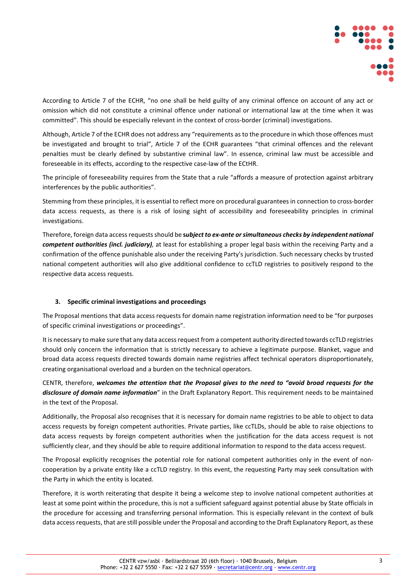

According to Article 7 of the ECHR, "no one shall be held guilty of any criminal offence on account of any act or omission which did not constitute a criminal offence under national or international law at the time when it was committed". This should be especially relevant in the context of cross-border (criminal) investigations.

Although, Article 7 of the ECHR does not address any "requirements as to the procedure in which those offences must be investigated and brought to trial", Article 7 of the ECHR guarantees "that criminal offences and the relevant penalties must be clearly defined by substantive criminal law". In essence, criminal law must be accessible and foreseeable in its effects, according to the respective case-law of the ECtHR.

The principle of foreseeability requires from the State that a rule "affords a measure of protection against arbitrary interferences by the public authorities".

Stemming from these principles, it is essential to reflect more on procedural guarantees in connection to cross-border data access requests, as there is a risk of losing sight of accessibility and foreseeability principles in criminal investigations.

Therefore, foreign data access requests should be **s***ubject to ex-ante or simultaneous checks by independent national competent authorities (incl. judiciary),* at least for establishing a proper legal basis within the receiving Party and a confirmation of the offence punishable also under the receiving Party's jurisdiction. Such necessary checks by trusted national competent authorities will also give additional confidence to ccTLD registries to positively respond to the respective data access requests.

#### **3. Specific criminal investigations and proceedings**

The Proposal mentions that data access requests for domain name registration information need to be "for purposes of specific criminal investigations or proceedings".

It is necessary to make sure that any data access request from a competent authority directed towards ccTLD registries should only concern the information that is strictly necessary to achieve a legitimate purpose. Blanket, vague and broad data access requests directed towards domain name registries affect technical operators disproportionately, creating organisational overload and a burden on the technical operators.

CENTR, therefore, *welcomes the attention that the Proposal gives to the need to "avoid broad requests for the disclosure of domain name information*" in the Draft Explanatory Report. This requirement needs to be maintained in the text of the Proposal.

Additionally, the Proposal also recognises that it is necessary for domain name registries to be able to object to data access requests by foreign competent authorities. Private parties, like ccTLDs, should be able to raise objections to data access requests by foreign competent authorities when the justification for the data access request is not sufficiently clear, and they should be able to require additional information to respond to the data access request.

The Proposal explicitly recognises the potential role for national competent authorities only in the event of noncooperation by a private entity like a ccTLD registry. In this event, the requesting Party may seek consultation with the Party in which the entity is located.

Therefore, it is worth reiterating that despite it being a welcome step to involve national competent authorities at least at some point within the procedure, this is not a sufficient safeguard against potential abuse by State officials in the procedure for accessing and transferring personal information. This is especially relevant in the context of bulk data access requests, that are still possible under the Proposal and according to the Draft Explanatory Report, as these